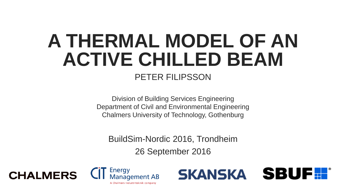## PETER FILIPSSON **A THERMAL MODEL OF AN ACTIVE CHILLED BEAM**

Division of Building Services Engineering Department of Civil and Environmental Engineering Chalmers University of Technology, Gothenburg

BuildSim-Nordic 2016, Trondheim

26 September 2016



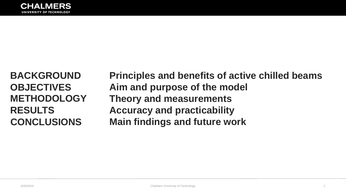**Principles and benefits of active chilled beams Aim and purpose of the model Theory and measurements Accuracy and practicability Main findings and future work**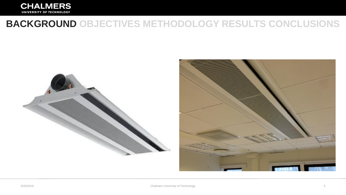

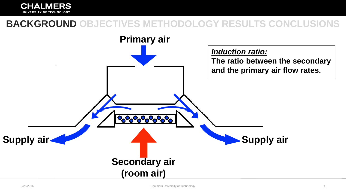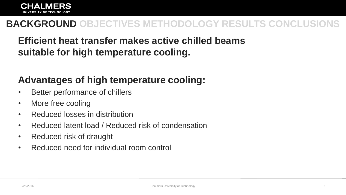## **Efficient heat transfer makes active chilled beams suitable for high temperature cooling.**

## **Advantages of high temperature cooling:**

- Better performance of chillers
- More free cooling
- Reduced losses in distribution
- Reduced latent load / Reduced risk of condensation
- Reduced risk of draught
- Reduced need for individual room control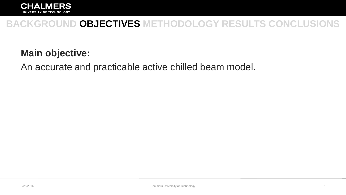

#### **Main objective:**

An accurate and practicable active chilled beam model.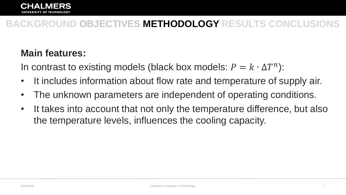#### **Main features:**

In contrast to existing models (black box models:  $P = k \cdot \Delta T^{n}$ ):

- It includes information about flow rate and temperature of supply air.
- The unknown parameters are independent of operating conditions.
- It takes into account that not only the temperature difference, but also the temperature levels, influences the cooling capacity.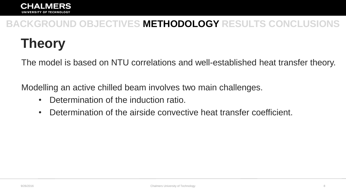## **Theory**

The model is based on NTU correlations and well-established heat transfer theory.

Modelling an active chilled beam involves two main challenges.

- Determination of the induction ratio.
- Determination of the airside convective heat transfer coefficient.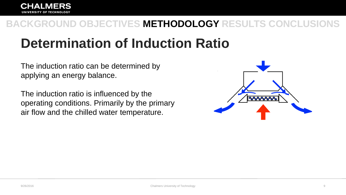## **Determination of Induction Ratio**

The induction ratio can be determined by applying an energy balance.

The induction ratio is influenced by the operating conditions. Primarily by the primary air flow and the chilled water temperature.

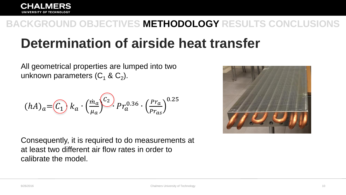## **Determination of airside heat transfer**

All geometrical properties are lumped into two unknown parameters (C<sub>1</sub> & C<sub>2</sub>).

$$
(hA)a=C1) ka \cdot \left(\frac{m_a}{\mu_a}\right)^{C_2} Pr_a^{0.36} \cdot \left(\frac{Pr_a}{Pr_{as}}\right)^{0.25}
$$



Consequently, it is required to do measurements at at least two different air flow rates in order to calibrate the model.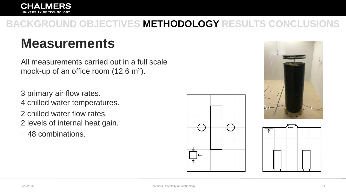## **Measurements**

All measurements carried out in a full scale mock-up of an office room  $(12.6 \text{ m}^2)$ .

3 primary air flow rates. 4 chilled water temperatures. 2 chilled water flow rates. 2 levels of internal heat gain. = 48 combinations.





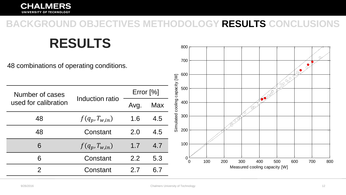800<sub>r</sub>

**RESULTS**

| 48 combinations of operating conditions. |                    |             |     | 700<br>100<br>600                                         |
|------------------------------------------|--------------------|-------------|-----|-----------------------------------------------------------|
| Number of cases                          |                    | Error $[%]$ |     | cooling capacity [W]<br>199904<br>500                     |
| used for calibration                     | Induction ratio    | Avg.        | Max | 400                                                       |
| 48                                       | $f(q_p, T_{w,in})$ | 1.6         | 4.5 | Simulated<br>300                                          |
| 48                                       | Constant           | 2.0         | 4.5 | 200                                                       |
| 6                                        | $f(q_p, T_{w,in})$ | 1.7         | 4.7 | 100                                                       |
| 6                                        | Constant           | 2.2         | 5.3 | 100<br>200<br>300<br>400<br>500<br>700<br>800<br>600<br>O |
| C                                        | Constant           | 2.7         | 6.7 | Measured cooling capacity [W]                             |

 $\sim$ 

 $\begin{bmatrix} 1 & 1 \\ 1 & 1 \end{bmatrix}$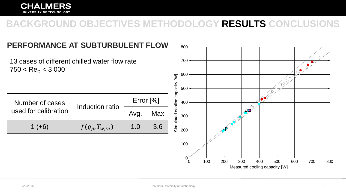#### **CHALMERS** UNIVERSITY OF TECHNOLOGY

#### **BACKGROUND OBJECTIVES METHODOLOGY RESULTS CONCLUSIONS**

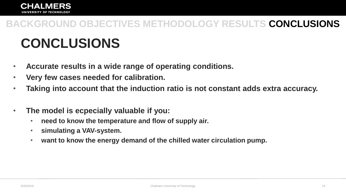## **CONCLUSIONS**

- **Accurate results in a wide range of operating conditions.**
- **Very few cases needed for calibration.**
- **Taking into account that the induction ratio is not constant adds extra accuracy.**
- **The model is ecpecially valuable if you:**
	- **need to know the temperature and flow of supply air.**
	- **simulating a VAV-system.**
	- **want to know the energy demand of the chilled water circulation pump.**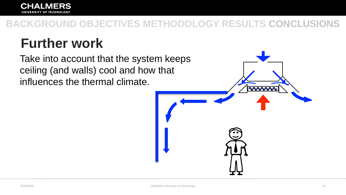## **Further work**

Take into account that the system keeps ceiling (and walls) cool and how that influences the thermal climate.

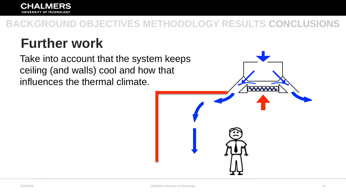## **Further work**

Take into account that the system keeps ceiling (and walls) cool and how that influences the thermal climate.